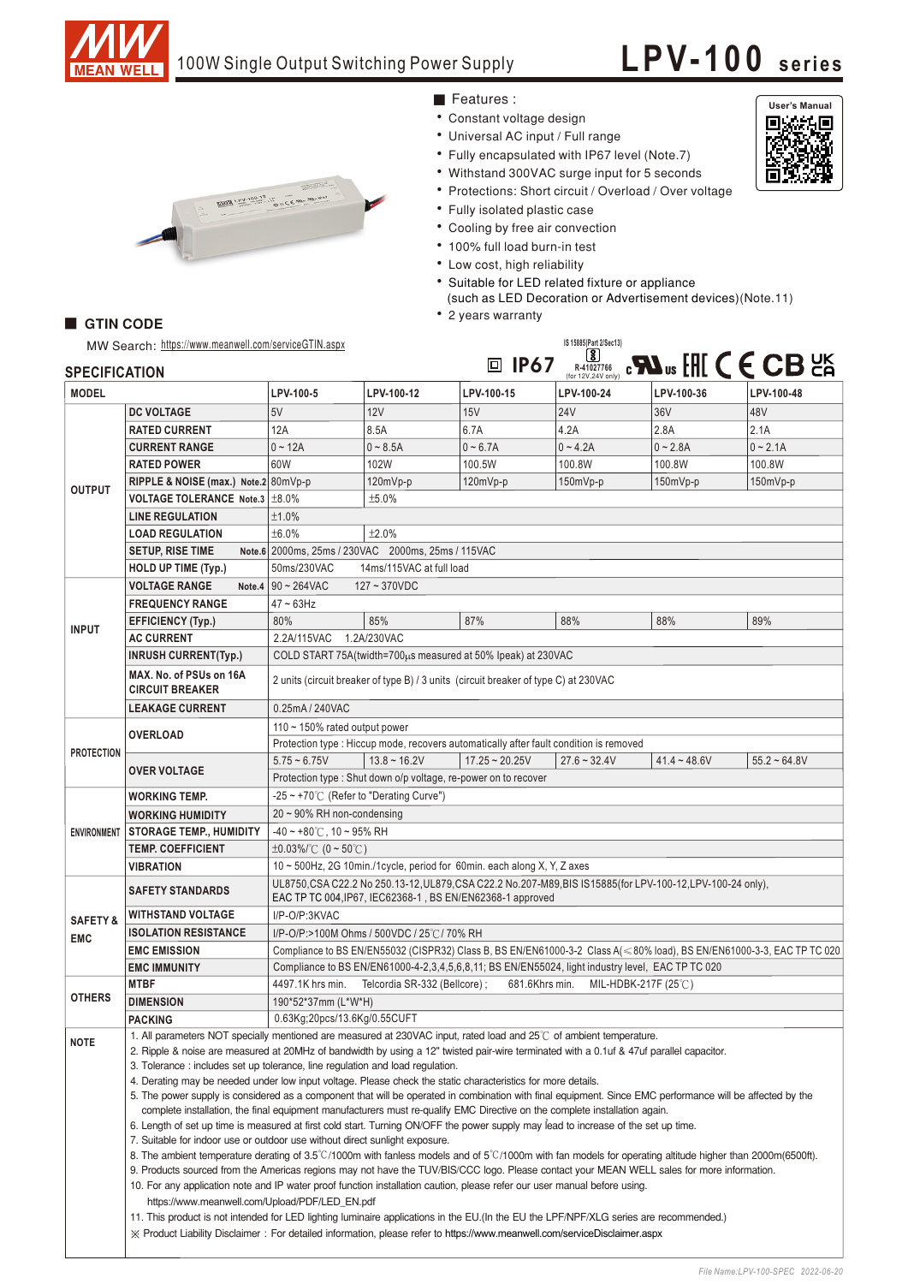

## 100W Single Output Switching Power Supply

## **LPV-100 seri es**

**User's Manual**

回燃<mark>和</mark><br>[添松湖



Features :

- Constant voltage design
- Universal AC input / Full range
- Fully encapsulated with IP67 level (Note.7)
- Withstand 300VAC surge input for 5 seconds
- Protections: Short circuit / Overload / Over voltage
- Fully isolated plastic case
- Cooling by free air convection
- 100% full load burn-in test
- Low cost, high reliability
- Suitable for LED related fixture or appliance
- (such as LED Decoration or Advertisement devices)(Note.11) • 2 years warranty

## GTIN CODE

| IS 15885(Part 2/Sec13)<br>MW Search: https://www.meanwell.com/serviceGTIN.aspx |                                                                                                                                                                                                                                                                                                         |                                                                                                                                                                                                                                                                 |                   |                  |                                              |                |                                                                    |  |
|--------------------------------------------------------------------------------|---------------------------------------------------------------------------------------------------------------------------------------------------------------------------------------------------------------------------------------------------------------------------------------------------------|-----------------------------------------------------------------------------------------------------------------------------------------------------------------------------------------------------------------------------------------------------------------|-------------------|------------------|----------------------------------------------|----------------|--------------------------------------------------------------------|--|
| <b>SPECIFICATION</b>                                                           |                                                                                                                                                                                                                                                                                                         |                                                                                                                                                                                                                                                                 |                   | 回 IP67           | $^{[8]}$<br>R-41027766<br>(for 12V,24V only) |                | $\mathbb{R}^n$ and $\mathbb{H}^n$ ( $\mathbb{C}$ CB $\mathbb{H}^n$ |  |
| <b>MODEL</b>                                                                   |                                                                                                                                                                                                                                                                                                         | LPV-100-5                                                                                                                                                                                                                                                       | LPV-100-12        | LPV-100-15       | LPV-100-24                                   | LPV-100-36     | LPV-100-48                                                         |  |
| <b>OUTPUT</b>                                                                  | <b>DC VOLTAGE</b>                                                                                                                                                                                                                                                                                       | 5V                                                                                                                                                                                                                                                              | 12V               | 15V              | 24V                                          | 36V            | 48V                                                                |  |
|                                                                                | <b>RATED CURRENT</b>                                                                                                                                                                                                                                                                                    | 12A                                                                                                                                                                                                                                                             | 8.5A              | 6.7A             | 4.2A                                         | 2.8A           | 2.1A                                                               |  |
|                                                                                | <b>CURRENT RANGE</b>                                                                                                                                                                                                                                                                                    | $0 - 12A$                                                                                                                                                                                                                                                       | $0 - 8.5A$        | $0 - 6.7A$       | $0 - 4.2A$                                   | $0 - 2.8A$     | $0 - 2.1A$                                                         |  |
|                                                                                | <b>RATED POWER</b>                                                                                                                                                                                                                                                                                      | 60W                                                                                                                                                                                                                                                             | 102W              | 100.5W           | 100.8W                                       | 100.8W         | 100.8W                                                             |  |
|                                                                                | RIPPLE & NOISE (max.) Note.2 80mVp-p                                                                                                                                                                                                                                                                    |                                                                                                                                                                                                                                                                 | 120mVp-p          | $120mVp-p$       | $150mVp-p$                                   | $150mVp-p$     | 150mVp-p                                                           |  |
|                                                                                | VOLTAGE TOLERANCE Note.3   ±8.0%                                                                                                                                                                                                                                                                        | ±5.0%                                                                                                                                                                                                                                                           |                   |                  |                                              |                |                                                                    |  |
|                                                                                | <b>LINE REGULATION</b>                                                                                                                                                                                                                                                                                  | ±1.0%                                                                                                                                                                                                                                                           |                   |                  |                                              |                |                                                                    |  |
|                                                                                | <b>LOAD REGULATION</b>                                                                                                                                                                                                                                                                                  | ±6.0%<br>±2.0%                                                                                                                                                                                                                                                  |                   |                  |                                              |                |                                                                    |  |
|                                                                                | <b>SETUP, RISE TIME</b>                                                                                                                                                                                                                                                                                 | Note.6 2000ms, 25ms / 230VAC 2000ms, 25ms / 115VAC                                                                                                                                                                                                              |                   |                  |                                              |                |                                                                    |  |
|                                                                                | <b>HOLD UP TIME (Typ.)</b>                                                                                                                                                                                                                                                                              | 50ms/230VAC<br>14ms/115VAC at full load                                                                                                                                                                                                                         |                   |                  |                                              |                |                                                                    |  |
| <b>INPUT</b>                                                                   | <b>VOLTAGE RANGE</b><br>Note.4                                                                                                                                                                                                                                                                          | $90 - 264$ VAC<br>$127 - 370VDC$                                                                                                                                                                                                                                |                   |                  |                                              |                |                                                                    |  |
|                                                                                | <b>FREQUENCY RANGE</b>                                                                                                                                                                                                                                                                                  | $47 \sim 63$ Hz                                                                                                                                                                                                                                                 |                   |                  |                                              |                |                                                                    |  |
|                                                                                | <b>EFFICIENCY (Typ.)</b>                                                                                                                                                                                                                                                                                | 80%                                                                                                                                                                                                                                                             | 85%               | 87%              | 88%                                          | 88%            | 89%                                                                |  |
|                                                                                | <b>AC CURRENT</b>                                                                                                                                                                                                                                                                                       | 2.2A/115VAC                                                                                                                                                                                                                                                     | 1.2A/230VAC       |                  |                                              |                |                                                                    |  |
|                                                                                | <b>INRUSH CURRENT(Typ.)</b>                                                                                                                                                                                                                                                                             | COLD START 75A (twidth=700us measured at 50% Ipeak) at 230VAC                                                                                                                                                                                                   |                   |                  |                                              |                |                                                                    |  |
|                                                                                | MAX. No. of PSUs on 16A<br><b>CIRCUIT BREAKER</b>                                                                                                                                                                                                                                                       | 2 units (circuit breaker of type B) / 3 units (circuit breaker of type C) at 230VAC                                                                                                                                                                             |                   |                  |                                              |                |                                                                    |  |
|                                                                                | 0.25mA / 240VAC<br><b>LEAKAGE CURRENT</b>                                                                                                                                                                                                                                                               |                                                                                                                                                                                                                                                                 |                   |                  |                                              |                |                                                                    |  |
| <b>PROTECTION</b>                                                              |                                                                                                                                                                                                                                                                                                         | 110 $\sim$ 150% rated output power                                                                                                                                                                                                                              |                   |                  |                                              |                |                                                                    |  |
|                                                                                | <b>OVERLOAD</b>                                                                                                                                                                                                                                                                                         | Protection type : Hiccup mode, recovers automatically after fault condition is removed                                                                                                                                                                          |                   |                  |                                              |                |                                                                    |  |
|                                                                                |                                                                                                                                                                                                                                                                                                         | $5.75 - 6.75V$                                                                                                                                                                                                                                                  | $13.8 \sim 16.2V$ | $17.25 - 20.25V$ | $27.6 - 32.4V$                               | $41.4 - 48.6V$ | $55.2 - 64.8V$                                                     |  |
|                                                                                | <b>OVER VOLTAGE</b>                                                                                                                                                                                                                                                                                     | Protection type : Shut down o/p voltage, re-power on to recover                                                                                                                                                                                                 |                   |                  |                                              |                |                                                                    |  |
| <b>ENVIRONMENT</b>                                                             | <b>WORKING TEMP.</b>                                                                                                                                                                                                                                                                                    | -25 ~ +70 $\degree$ C (Refer to "Derating Curve")                                                                                                                                                                                                               |                   |                  |                                              |                |                                                                    |  |
|                                                                                | <b>WORKING HUMIDITY</b>                                                                                                                                                                                                                                                                                 | $20 \sim 90\%$ RH non-condensing                                                                                                                                                                                                                                |                   |                  |                                              |                |                                                                    |  |
|                                                                                | <b>STORAGE TEMP., HUMIDITY</b>                                                                                                                                                                                                                                                                          | $-40 \sim +80^{\circ}$ C, 10 ~ 95% RH                                                                                                                                                                                                                           |                   |                  |                                              |                |                                                                    |  |
|                                                                                | <b>TEMP. COEFFICIENT</b>                                                                                                                                                                                                                                                                                | $\pm 0.03\%$ (0 ~ 50°C)                                                                                                                                                                                                                                         |                   |                  |                                              |                |                                                                    |  |
|                                                                                | <b>VIBRATION</b>                                                                                                                                                                                                                                                                                        | 10 ~ 500Hz, 2G 10min./1cycle, period for 60min. each along X, Y, Z axes                                                                                                                                                                                         |                   |                  |                                              |                |                                                                    |  |
|                                                                                | <b>SAFETY STANDARDS</b>                                                                                                                                                                                                                                                                                 | UL8750, CSA C22.2 No 250.13-12, UL879, CSA C22.2 No.207-M89, BIS IS15885(for LPV-100-12, LPV-100-24 only),<br>EAC TP TC 004, IP67, IEC62368-1, BS EN/EN62368-1 approved                                                                                         |                   |                  |                                              |                |                                                                    |  |
| <b>SAFETY &amp;</b><br><b>EMC</b>                                              | <b>WITHSTAND VOLTAGE</b>                                                                                                                                                                                                                                                                                | I/P-O/P:3KVAC                                                                                                                                                                                                                                                   |                   |                  |                                              |                |                                                                    |  |
|                                                                                | <b>ISOLATION RESISTANCE</b>                                                                                                                                                                                                                                                                             | I/P-O/P:>100M Ohms / 500VDC / 25°C / 70% RH                                                                                                                                                                                                                     |                   |                  |                                              |                |                                                                    |  |
|                                                                                | <b>EMC EMISSION</b>                                                                                                                                                                                                                                                                                     | Compliance to BS EN/EN55032 (CISPR32) Class B, BS EN/EN61000-3-2 Class A(<80% load), BS EN/EN61000-3-3, EAC TP TC 020                                                                                                                                           |                   |                  |                                              |                |                                                                    |  |
|                                                                                | <b>EMC IMMUNITY</b>                                                                                                                                                                                                                                                                                     | Compliance to BS EN/EN61000-4-2,3,4,5,6,8,11; BS EN/EN55024, light industry level, EAC TP TC 020                                                                                                                                                                |                   |                  |                                              |                |                                                                    |  |
| <b>OTHERS</b>                                                                  | <b>MTBF</b>                                                                                                                                                                                                                                                                                             | 4497.1K hrs min.<br>Telcordia SR-332 (Bellcore) ;<br>681.6Khrs min.<br>MIL-HDBK-217F $(25^{\circ}$ C)                                                                                                                                                           |                   |                  |                                              |                |                                                                    |  |
|                                                                                | <b>DIMENSION</b>                                                                                                                                                                                                                                                                                        | 190*52*37mm (L*W*H)                                                                                                                                                                                                                                             |                   |                  |                                              |                |                                                                    |  |
|                                                                                | <b>PACKING</b>                                                                                                                                                                                                                                                                                          | 0.63Kg;20pcs/13.6Kg/0.55CUFT                                                                                                                                                                                                                                    |                   |                  |                                              |                |                                                                    |  |
| NOTE                                                                           |                                                                                                                                                                                                                                                                                                         | 1. All parameters NOT specially mentioned are measured at 230VAC input, rated load and 25°C of ambient temperature.<br>2. Ripple & noise are measured at 20MHz of bandwidth by using a 12" twisted pair-wire terminated with a 0.1uf & 47uf parallel capacitor. |                   |                  |                                              |                |                                                                    |  |
|                                                                                |                                                                                                                                                                                                                                                                                                         |                                                                                                                                                                                                                                                                 |                   |                  |                                              |                |                                                                    |  |
|                                                                                |                                                                                                                                                                                                                                                                                                         | 3. Tolerance: includes set up tolerance, line regulation and load regulation.<br>4. Derating may be needed under low input voltage. Please check the static characteristics for more details.                                                                   |                   |                  |                                              |                |                                                                    |  |
|                                                                                |                                                                                                                                                                                                                                                                                                         | 5. The power supply is considered as a component that will be operated in combination with final equipment. Since EMC performance will be affected by the                                                                                                       |                   |                  |                                              |                |                                                                    |  |
|                                                                                |                                                                                                                                                                                                                                                                                                         | complete installation, the final equipment manufacturers must re-qualify EMC Directive on the complete installation again.                                                                                                                                      |                   |                  |                                              |                |                                                                    |  |
|                                                                                |                                                                                                                                                                                                                                                                                                         | 6. Length of set up time is measured at first cold start. Turning ON/OFF the power supply may lead to increase of the set up time.                                                                                                                              |                   |                  |                                              |                |                                                                    |  |
|                                                                                |                                                                                                                                                                                                                                                                                                         | 7. Suitable for indoor use or outdoor use without direct sunlight exposure.                                                                                                                                                                                     |                   |                  |                                              |                |                                                                    |  |
|                                                                                | 8. The ambient temperature derating of 3.5°C/1000m with fanless models and of 5°C/1000m with fan models for operating altitude higher than 2000m(6500ft).<br>9. Products sourced from the Americas regions may not have the TUV/BIS/CCC logo. Please contact your MEAN WELL sales for more information. |                                                                                                                                                                                                                                                                 |                   |                  |                                              |                |                                                                    |  |
|                                                                                | 10. For any application note and IP water proof function installation caution, please refer our user manual before using.<br>https://www.meanwell.com/Upload/PDF/LED_EN.pdf                                                                                                                             |                                                                                                                                                                                                                                                                 |                   |                  |                                              |                |                                                                    |  |
|                                                                                |                                                                                                                                                                                                                                                                                                         |                                                                                                                                                                                                                                                                 |                   |                  |                                              |                |                                                                    |  |
|                                                                                | 11. This product is not intended for LED lighting luminaire applications in the EU (In the EU the LPF/NPF/XLG series are recommended.)                                                                                                                                                                  |                                                                                                                                                                                                                                                                 |                   |                  |                                              |                |                                                                    |  |
|                                                                                | X Product Liability Disclaimer: For detailed information, please refer to https://www.meanwell.com/serviceDisclaimer.aspx                                                                                                                                                                               |                                                                                                                                                                                                                                                                 |                   |                  |                                              |                |                                                                    |  |